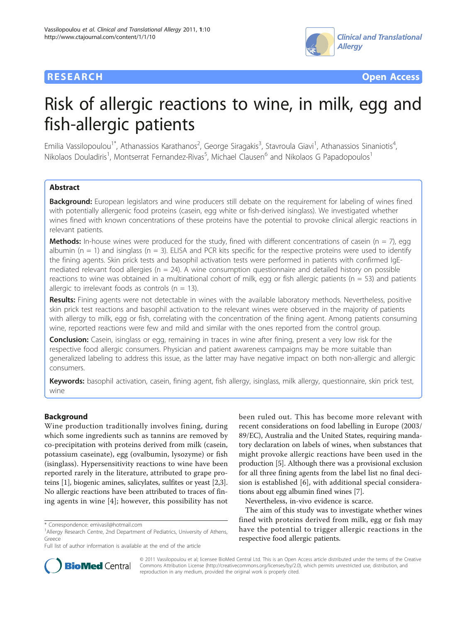

**RESEARCH CONTROL** CONTROL CONTROL CONTROL CONTROL CONTROL CONTROL CONTROL CONTROL CONTROL CONTROL CONTROL CONTROL CONTROL CONTROL CONTROL CONTROL CONTROL CONTROL CONTROL CONTROL CONTROL CONTROL CONTROL CONTROL CONTROL CON

# Risk of allergic reactions to wine, in milk, egg and fish-allergic patients

Emilia Vassilopoulou<sup>1\*</sup>, Athanassios Karathanos<sup>2</sup>, George Siragakis<sup>3</sup>, Stavroula Giavi<sup>1</sup>, Athanassios Sinaniotis<sup>4</sup> , Nikolaos Douladiris<sup>1</sup>, Montserrat Fernandez-Rivas<sup>5</sup>, Michael Clausen<sup>6</sup> and Nikolaos G Papadopoulos<sup>1</sup>

# **Abstract**

Background: European legislators and wine producers still debate on the requirement for labeling of wines fined with potentially allergenic food proteins (casein, egg white or fish-derived isinglass). We investigated whether wines fined with known concentrations of these proteins have the potential to provoke clinical allergic reactions in relevant patients.

**Methods:** In-house wines were produced for the study, fined with different concentrations of casein ( $n = 7$ ), egg albumin ( $n = 1$ ) and isinglass ( $n = 3$ ). ELISA and PCR kits specific for the respective proteins were used to identify the fining agents. Skin prick tests and basophil activation tests were performed in patients with confirmed IgEmediated relevant food allergies ( $n = 24$ ). A wine consumption questionnaire and detailed history on possible reactions to wine was obtained in a multinational cohort of milk, egg or fish allergic patients ( $n = 53$ ) and patients allergic to irrelevant foods as controls ( $n = 13$ ).

Results: Fining agents were not detectable in wines with the available laboratory methods. Nevertheless, positive skin prick test reactions and basophil activation to the relevant wines were observed in the majority of patients with allergy to milk, egg or fish, correlating with the concentration of the fining agent. Among patients consuming wine, reported reactions were few and mild and similar with the ones reported from the control group.

**Conclusion:** Casein, isinglass or egg, remaining in traces in wine after fining, present a very low risk for the respective food allergic consumers. Physician and patient awareness campaigns may be more suitable than generalized labeling to address this issue, as the latter may have negative impact on both non-allergic and allergic consumers.

Keywords: basophil activation, casein, fining agent, fish allergy, isinglass, milk allergy, questionnaire, skin prick test, wine

# Background

Wine production traditionally involves fining, during which some ingredients such as tannins are removed by co-precipitation with proteins derived from milk (casein, potassium caseinate), egg (ovalbumin, lysozyme) or fish (isinglass). Hypersensitivity reactions to wine have been reported rarely in the literature, attributed to grape proteins [\[1](#page-3-0)], biogenic amines, salicylates, sulfites or yeast [[2,3](#page-3-0)]. No allergic reactions have been attributed to traces of fining agents in wine [[4\]](#page-3-0); however, this possibility has not

been ruled out. This has become more relevant with recent considerations on food labelling in Europe (2003/ 89/EC), Australia and the United States, requiring mandatory declaration on labels of wines, when substances that might provoke allergic reactions have been used in the production [[5](#page-3-0)]. Although there was a provisional exclusion for all three fining agents from the label list no final decision is established [[6\]](#page-3-0), with additional special considerations about egg albumin fined wines [\[7](#page-3-0)].

Nevertheless, in-vivo evidence is scarce.

The aim of this study was to investigate whether wines fined with proteins derived from milk, egg or fish may have the potential to trigger allergic reactions in the respective food allergic patients.



© 2011 Vassilopoulou et al; licensee BioMed Central Ltd. This is an Open Access article distributed under the terms of the Creative Commons Attribution License [\(http://creativecommons.org/licenses/by/2.0](http://creativecommons.org/licenses/by/2.0)), which permits unrestricted use, distribution, and reproduction in any medium, provided the original work is properly cited.

<sup>\*</sup> Correspondence: [emivasil@hotmail.com](mailto:emivasil@hotmail.com)

<sup>&</sup>lt;sup>1</sup> Allergy Research Centre, 2nd Department of Pediatrics, University of Athens, Greece

Full list of author information is available at the end of the article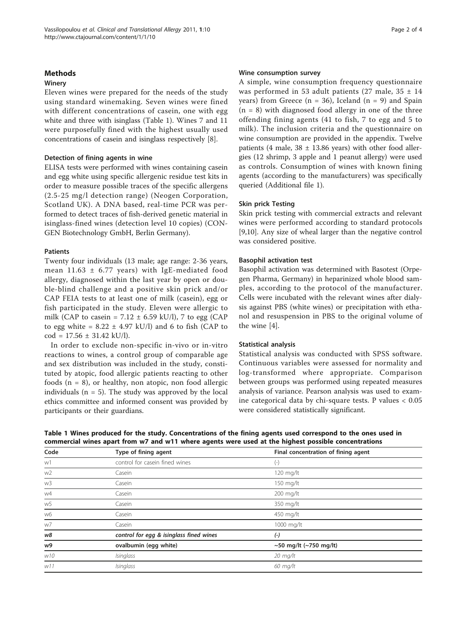# Methods

# Winery

Eleven wines were prepared for the needs of the study using standard winemaking. Seven wines were fined with different concentrations of casein, one with egg white and three with isinglass (Table 1). Wines 7 and 11 were purposefully fined with the highest usually used concentrations of casein and isinglass respectively [[8\]](#page-3-0).

# Detection of fining agents in wine

ELISA tests were performed with wines containing casein and egg white using specific allergenic residue test kits in order to measure possible traces of the specific allergens (2.5-25 mg/l detection range) (Neogen Corporation, Scotland UK). A DNA based, real-time PCR was performed to detect traces of fish-derived genetic material in isinglass-fined wines (detection level 10 copies) (CON-GEN Biotechnology GmbH, Berlin Germany).

# Patients

Twenty four individuals (13 male; age range: 2-36 years, mean  $11.63 \pm 6.77$  years) with IgE-mediated food allergy, diagnosed within the last year by open or double-blind challenge and a positive skin prick and/or CAP FEIA tests to at least one of milk (casein), egg or fish participated in the study. Eleven were allergic to milk (CAP to casein =  $7.12 \pm 6.59$  kU/l), 7 to egg (CAP to egg white =  $8.22 \pm 4.97$  kU/l) and 6 to fish (CAP to  $cod = 17.56 \pm 31.42$  kU/l).

In order to exclude non-specific in-vivo or in-vitro reactions to wines, a control group of comparable age and sex distribution was included in the study, constituted by atopic, food allergic patients reacting to other foods  $(n = 8)$ , or healthy, non atopic, non food allergic individuals ( $n = 5$ ). The study was approved by the local ethics committee and informed consent was provided by participants or their guardians.

#### Wine consumption survey

A simple, wine consumption frequency questionnaire was performed in 53 adult patients (27 male,  $35 \pm 14$ years) from Greece ( $n = 36$ ), Iceland ( $n = 9$ ) and Spain  $(n = 8)$  with diagnosed food allergy in one of the three offending fining agents (41 to fish, 7 to egg and 5 to milk). The inclusion criteria and the questionnaire on wine consumption are provided in the appendix. Twelve patients (4 male,  $38 \pm 13.86$  years) with other food allergies (12 shrimp, 3 apple and 1 peanut allergy) were used as controls. Consumption of wines with known fining agents (according to the manufacturers) was specifically queried (Additional file [1](#page-3-0)).

### Skin prick Testing

Skin prick testing with commercial extracts and relevant wines were performed according to standard protocols [[9,10\]](#page-3-0). Any size of wheal larger than the negative control was considered positive.

# Basophil activation test

Basophil activation was determined with Basotest (Orpegen Pharma, Germany) in heparinized whole blood samples, according to the protocol of the manufacturer. Cells were incubated with the relevant wines after dialysis against PBS (white wines) or precipitation with ethanol and resuspension in PBS to the original volume of the wine [\[4](#page-3-0)].

## Statistical analysis

Statistical analysis was conducted with SPSS software. Continuous variables were assessed for normality and log-transformed where appropriate. Comparison between groups was performed using repeated measures analysis of variance. Pearson analysis was used to examine categorical data by chi-square tests. P values < 0.05 were considered statistically significant.

| Code | Type of fining agent                    | Final concentration of fining agent |  |
|------|-----------------------------------------|-------------------------------------|--|
| w1   | control for casein fined wines          | $_{(-)}$                            |  |
| w2   | Casein                                  | 120 mg/lt                           |  |
| w3   | Casein                                  | 150 mg/lt                           |  |
| w4   | Casein                                  | 200 mg/lt                           |  |
| w5   | Casein                                  | 350 mg/lt                           |  |
| w6   | Casein                                  | 450 mg/lt                           |  |
| w7   | Casein                                  | 1000 mg/lt                          |  |
| w8   | control for egg & isinglass fined wines | $(-)$                               |  |
| w9   | ovalbumin (egg white)                   | ~50 mg/lt (~750 mg/lt)              |  |
| W10  | Isinglass                               | $20 \text{ mg/lt}$                  |  |
| W11  | Isinglass                               | $60$ mg/lt                          |  |

Table 1 Wines produced for the study. Concentrations of the fining agents used correspond to the ones used in commercial wines apart from w7 and w11 where agents were used at the highest possible concentrations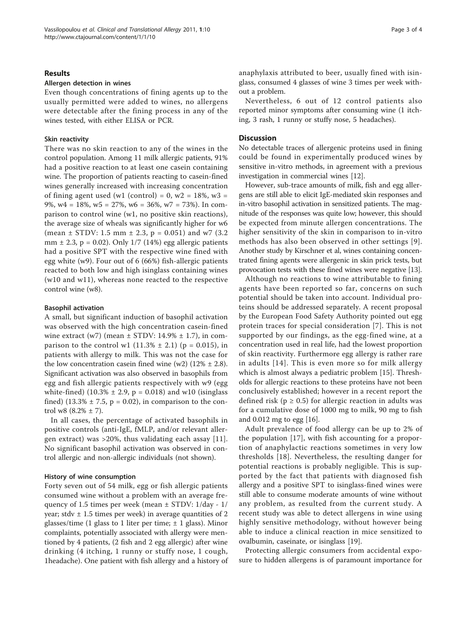### Results

#### Allergen detection in wines

Even though concentrations of fining agents up to the usually permitted were added to wines, no allergens were detectable after the fining process in any of the wines tested, with either ELISA or PCR.

#### Skin reactivity

There was no skin reaction to any of the wines in the control population. Among 11 milk allergic patients, 91% had a positive reaction to at least one casein containing wine. The proportion of patients reacting to casein-fined wines generally increased with increasing concentration of fining agent used (w1 (control) =  $0$ , w2 = 18%, w3 = 9%,  $w4 = 18\%$ ,  $w5 = 27\%$ ,  $w6 = 36\%$ ,  $w7 = 73\%$ ). In comparison to control wine (w1, no positive skin reactions), the average size of wheals was significantly higher for w6 (mean  $\pm$  STDV: 1.5 mm  $\pm$  2.3, p = 0.051) and w7 (3.2) mm  $\pm$  2.3, p = 0.02). Only 1/7 (14%) egg allergic patients had a positive SPT with the respective wine fined with egg white (w9). Four out of 6 (66%) fish-allergic patients reacted to both low and high isinglass containing wines (w10 and w11), whereas none reacted to the respective control wine (w8).

#### Basophil activation

A small, but significant induction of basophil activation was observed with the high concentration casein-fined wine extract (w7) (mean  $\pm$  STDV: 14.9%  $\pm$  1.7), in comparison to the control w1  $(11.3% \pm 2.1)$  (p = 0.015), in patients with allergy to milk. This was not the case for the low concentration case in fined wine (w2)  $(12\% \pm 2.8)$ . Significant activation was also observed in basophils from egg and fish allergic patients respectively with w9 (egg white-fined) (10.3%  $\pm$  2.9, p = 0.018) and w10 (isinglass fined)  $(13.3% \pm 7.5, p = 0.02)$ , in comparison to the control w8  $(8.2% \pm 7)$ .

In all cases, the percentage of activated basophils in positive controls (anti-IgE, fMLP, and/or relevant allergen extract) was >20%, thus validating each assay [[11](#page-3-0)]. No significant basophil activation was observed in control allergic and non-allergic individuals (not shown).

#### History of wine consumption

Forty seven out of 54 milk, egg or fish allergic patients consumed wine without a problem with an average frequency of 1.5 times per week (mean ± STDV: 1/day - 1/ year; stdv  $\pm$  1.5 times per week) in average quantities of 2 glasses/time (1 glass to 1 liter per time;  $\pm$  1 glass). Minor complaints, potentially associated with allergy were mentioned by 4 patients, (2 fish and 2 egg allergic) after wine drinking (4 itching, 1 runny or stuffy nose, 1 cough, 1headache). One patient with fish allergy and a history of anaphylaxis attributed to beer, usually fined with isinglass, consumed 4 glasses of wine 3 times per week without a problem.

Nevertheless, 6 out of 12 control patients also reported minor symptoms after consuming wine (1 itching, 3 rash, 1 runny or stuffy nose, 5 headaches).

#### **Discussion**

No detectable traces of allergenic proteins used in fining could be found in experimentally produced wines by sensitive in-vitro methods, in agreement with a previous investigation in commercial wines [[12\]](#page-3-0).

However, sub-trace amounts of milk, fish and egg allergens are still able to elicit IgE-mediated skin responses and in-vitro basophil activation in sensitized patients. The magnitude of the responses was quite low; however, this should be expected from minute allergen concentrations. The higher sensitivity of the skin in comparison to in-vitro methods has also been observed in other settings [[9\]](#page-3-0). Another study by Kirschner et al, wines containing concentrated fining agents were allergenic in skin prick tests, but provocation tests with these fined wines were negative [[13](#page-3-0)].

Although no reactions to wine attributable to fining agents have been reported so far, concerns on such potential should be taken into account. Individual proteins should be addressed separately. A recent proposal by the European Food Safety Authority pointed out egg protein traces for special consideration [[7\]](#page-3-0). This is not supported by our findings, as the egg-fined wine, at a concentration used in real life, had the lowest proportion of skin reactivity. Furthermore egg allergy is rather rare in adults [[14\]](#page-3-0). This is even more so for milk allergy which is almost always a pediatric problem [[15\]](#page-3-0). Thresholds for allergic reactions to these proteins have not been conclusively established; however in a recent report the defined risk ( $p \ge 0.5$ ) for allergic reaction in adults was for a cumulative dose of 1000 mg to milk, 90 mg to fish and 0.012 mg to egg [[16\]](#page-3-0).

Adult prevalence of food allergy can be up to 2% of the population [[17\]](#page-3-0), with fish accounting for a proportion of anaphylactic reactions sometimes in very low thresholds [[18](#page-3-0)]. Nevertheless, the resulting danger for potential reactions is probably negligible. This is supported by the fact that patients with diagnosed fish allergy and a positive SPT to isinglass-fined wines were still able to consume moderate amounts of wine without any problem, as resulted from the current study. A recent study was able to detect allergens in wine using highly sensitive methodology, without however being able to induce a clinical reaction in mice sensitized to ovalbumin, caseinate, or isinglass [[19\]](#page-3-0).

Protecting allergic consumers from accidental exposure to hidden allergens is of paramount importance for